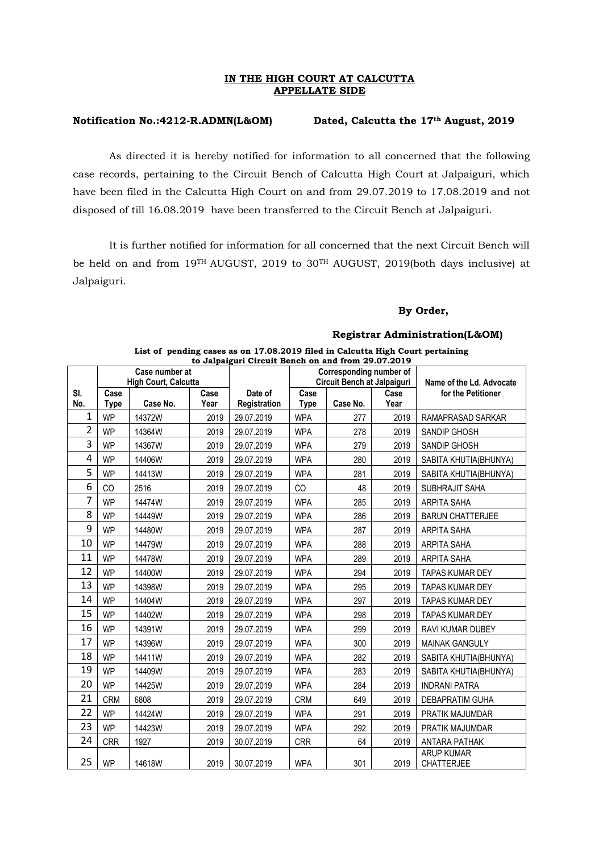# **IN THE HIGH COURT AT CALCUTTA APPELLATE SIDE**

## **Notification No.:4212-R.ADMN(L&OM) Dated, Calcutta the 17th August, 2019**

As directed it is hereby notified for information to all concerned that the following case records, pertaining to the Circuit Bench of Calcutta High Court at Jalpaiguri, which have been filed in the Calcutta High Court on and from 29.07.2019 to 17.08.2019 and not disposed of till 16.08.2019 have been transferred to the Circuit Bench at Jalpaiguri.

It is further notified for information for all concerned that the next Circuit Bench will be held on and from 19TH AUGUST, 2019 to 30TH AUGUST, 2019(both days inclusive) at Jalpaiguri.

# **By Order,**

## **Registrar Administration(L&OM)**

|                | to Jalpaiguri Circuit Bench on and from 29.07.2019 |                |      |              |                                                        |          |      |                                 |  |  |
|----------------|----------------------------------------------------|----------------|------|--------------|--------------------------------------------------------|----------|------|---------------------------------|--|--|
|                |                                                    | Case number at |      |              | Corresponding number of<br>Circuit Bench at Jalpaiguri |          |      | Name of the Ld. Advocate        |  |  |
| SI.            | <b>High Court, Calcutta</b><br>Case<br>Case        |                |      | Date of      | Case<br>Case                                           |          |      | for the Petitioner              |  |  |
| No.            | <b>Type</b>                                        | Case No.       | Year | Registration | <b>Type</b>                                            | Case No. | Year |                                 |  |  |
| 1              | <b>WP</b>                                          | 14372W         | 2019 | 29.07.2019   | <b>WPA</b>                                             | 277      | 2019 | RAMAPRASAD SARKAR               |  |  |
| $\overline{2}$ | <b>WP</b>                                          | 14364W         | 2019 | 29.07.2019   | <b>WPA</b>                                             | 278      | 2019 | SANDIP GHOSH                    |  |  |
| 3              | <b>WP</b>                                          | 14367W         | 2019 | 29.07.2019   | <b>WPA</b>                                             | 279      | 2019 | SANDIP GHOSH                    |  |  |
| 4              | <b>WP</b>                                          | 14406W         | 2019 | 29.07.2019   | <b>WPA</b>                                             | 280      | 2019 | SABITA KHUTIA(BHUNYA)           |  |  |
| 5              | <b>WP</b>                                          | 14413W         | 2019 | 29.07.2019   | <b>WPA</b>                                             | 281      | 2019 | SABITA KHUTIA(BHUNYA)           |  |  |
| 6              | CO                                                 | 2516           | 2019 | 29.07.2019   | CO                                                     | 48       | 2019 | SUBHRAJIT SAHA                  |  |  |
| $\overline{7}$ | <b>WP</b>                                          | 14474W         | 2019 | 29.07.2019   | <b>WPA</b>                                             | 285      | 2019 | <b>ARPITA SAHA</b>              |  |  |
| 8              | <b>WP</b>                                          | 14449W         | 2019 | 29.07.2019   | <b>WPA</b>                                             | 286      | 2019 | <b>BARUN CHATTERJEE</b>         |  |  |
| 9              | <b>WP</b>                                          | 14480W         | 2019 | 29.07.2019   | <b>WPA</b>                                             | 287      | 2019 | ARPITA SAHA                     |  |  |
| 10             | <b>WP</b>                                          | 14479W         | 2019 | 29.07.2019   | <b>WPA</b>                                             | 288      | 2019 | ARPITA SAHA                     |  |  |
| 11             | <b>WP</b>                                          | 14478W         | 2019 | 29.07.2019   | <b>WPA</b>                                             | 289      | 2019 | ARPITA SAHA                     |  |  |
| 12             | <b>WP</b>                                          | 14400W         | 2019 | 29.07.2019   | <b>WPA</b>                                             | 294      | 2019 | <b>TAPAS KUMAR DEY</b>          |  |  |
| 13             | <b>WP</b>                                          | 14398W         | 2019 | 29.07.2019   | <b>WPA</b>                                             | 295      | 2019 | <b>TAPAS KUMAR DEY</b>          |  |  |
| 14             | <b>WP</b>                                          | 14404W         | 2019 | 29.07.2019   | <b>WPA</b>                                             | 297      | 2019 | <b>TAPAS KUMAR DEY</b>          |  |  |
| 15             | <b>WP</b>                                          | 14402W         | 2019 | 29.07.2019   | <b>WPA</b>                                             | 298      | 2019 | <b>TAPAS KUMAR DEY</b>          |  |  |
| 16             | <b>WP</b>                                          | 14391W         | 2019 | 29.07.2019   | <b>WPA</b>                                             | 299      | 2019 | <b>RAVI KUMAR DUBEY</b>         |  |  |
| 17             | <b>WP</b>                                          | 14396W         | 2019 | 29.07.2019   | <b>WPA</b>                                             | 300      | 2019 | MAINAK GANGULY                  |  |  |
| 18             | <b>WP</b>                                          | 14411W         | 2019 | 29.07.2019   | <b>WPA</b>                                             | 282      | 2019 | SABITA KHUTIA(BHUNYA)           |  |  |
| 19             | <b>WP</b>                                          | 14409W         | 2019 | 29.07.2019   | <b>WPA</b>                                             | 283      | 2019 | SABITA KHUTIA(BHUNYA)           |  |  |
| 20             | <b>WP</b>                                          | 14425W         | 2019 | 29.07.2019   | <b>WPA</b>                                             | 284      | 2019 | <b>INDRANI PATRA</b>            |  |  |
| 21             | <b>CRM</b>                                         | 6808           | 2019 | 29.07.2019   | <b>CRM</b>                                             | 649      | 2019 | DEBAPRATIM GUHA                 |  |  |
| 22             | <b>WP</b>                                          | 14424W         | 2019 | 29.07.2019   | <b>WPA</b>                                             | 291      | 2019 | PRATIK MAJUMDAR                 |  |  |
| 23             | <b>WP</b>                                          | 14423W         | 2019 | 29.07.2019   | <b>WPA</b>                                             | 292      | 2019 | PRATIK MAJUMDAR                 |  |  |
| 24             | <b>CRR</b>                                         | 1927           | 2019 | 30.07.2019   | <b>CRR</b>                                             | 64       | 2019 | <b>ANTARA PATHAK</b>            |  |  |
| 25             | WP                                                 | 14618W         | 2019 | 30.07.2019   | <b>WPA</b>                                             | 301      | 2019 | ARUP KUMAR<br><b>CHATTERJEE</b> |  |  |

### **List of pending cases as on 17.08.2019 filed in Calcutta High Court pertaining to Jalpaiguri Circuit Bench on and from 29.07.2019**